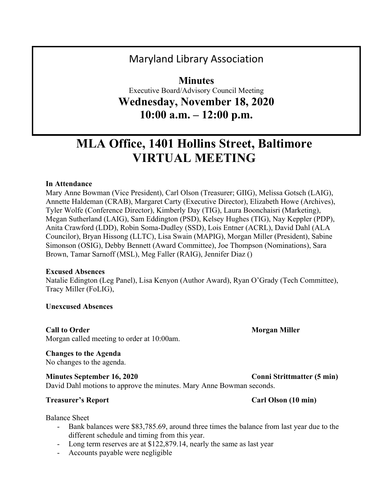## Maryland Library Association

**Minutes** Executive Board/Advisory Council Meeting **Wednesday, November 18, 2020 10:00 a.m. – 12:00 p.m.**

# **MLA Office, 1401 Hollins Street, Baltimore VIRTUAL MEETING**

#### **In Attendance**

Mary Anne Bowman (Vice President), Carl Olson (Treasurer; GIIG), Melissa Gotsch (LAIG), Annette Haldeman (CRAB), Margaret Carty (Executive Director), Elizabeth Howe (Archives), Tyler Wolfe (Conference Director), Kimberly Day (TIG), Laura Boonchaisri (Marketing), Megan Sutherland (LAIG), Sam Eddington (PSD), Kelsey Hughes (TIG), Nay Keppler (PDP), Anita Crawford (LDD), Robin Soma-Dudley (SSD), Lois Entner (ACRL), David Dahl (ALA Councilor), Bryan Hissong (LLTC), Lisa Swain (MAPIG), Morgan Miller (President), Sabine Simonson (OSIG), Debby Bennett (Award Committee), Joe Thompson (Nominations), Sara Brown, Tamar Sarnoff (MSL), Meg Faller (RAIG), Jennifer Diaz ()

#### **Excused Absences**

Natalie Edington (Leg Panel), Lisa Kenyon (Author Award), Ryan O'Grady (Tech Committee), Tracy Miller (FoLIG),

**Unexcused Absences**

Morgan called meeting to order at 10:00am.

#### **Changes to the Agenda**

No changes to the agenda.

#### **Minutes** September 16, 2020 **Conni** Strittmatter (5 min)

David Dahl motions to approve the minutes. Mary Anne Bowman seconds.

#### **Treasurer's Report** Carl Olson (10 **min)**

Balance Sheet

- Bank balances were \$83,785.69, around three times the balance from last year due to the different schedule and timing from this year.
- Long term reserves are at \$122,879.14, nearly the same as last year
- Accounts payable were negligible

#### **Call to Order Morgan Miller Call to Order Morgan Miller**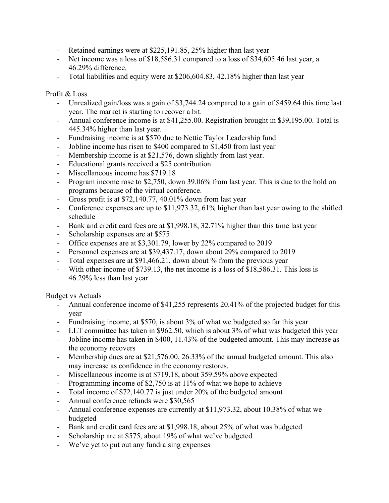- Retained earnings were at \$225,191.85, 25% higher than last year
- Net income was a loss of \$18,586.31 compared to a loss of \$34,605.46 last year, a 46.29% difference.
- Total liabilities and equity were at \$206,604.83, 42.18% higher than last year

#### Profit & Loss

- Unrealized gain/loss was a gain of \$3,744.24 compared to a gain of \$459.64 this time last year. The market is starting to recover a bit.
- Annual conference income is at \$41,255.00. Registration brought in \$39,195.00. Total is 445.34% higher than last year.
- Fundraising income is at \$570 due to Nettie Taylor Leadership fund
- Jobline income has risen to \$400 compared to \$1,450 from last year
- Membership income is at \$21,576, down slightly from last year.
- Educational grants received a \$25 contribution
- Miscellaneous income has \$719.18
- Program income rose to \$2,750, down 39.06% from last year. This is due to the hold on programs because of the virtual conference.
- Gross profit is at \$72,140.77, 40.01% down from last year
- Conference expenses are up to \$11,973.32, 61% higher than last year owing to the shifted schedule
- Bank and credit card fees are at \$1,998.18, 32.71% higher than this time last year
- Scholarship expenses are at \$575
- Office expenses are at \$3,301.79, lower by 22% compared to 2019
- Personnel expenses are at \$39,437.17, down about 29% compared to 2019
- Total expenses are at \$91,466.21, down about % from the previous year
- With other income of \$739.13, the net income is a loss of \$18,586.31. This loss is 46.29% less than last year

#### Budget vs Actuals

- Annual conference income of \$41,255 represents 20.41% of the projected budget for this year
- Fundraising income, at \$570, is about 3% of what we budgeted so far this year
- LLT committee has taken in \$962.50, which is about 3% of what was budgeted this year
- Jobline income has taken in \$400, 11.43% of the budgeted amount. This may increase as the economy recovers
- Membership dues are at \$21,576.00, 26.33% of the annual budgeted amount. This also may increase as confidence in the economy restores.
- Miscellaneous income is at \$719.18, about 359.59% above expected
- Programming income of \$2,750 is at 11% of what we hope to achieve
- Total income of \$72,140.77 is just under 20% of the budgeted amount
- Annual conference refunds were \$30,565
- Annual conference expenses are currently at \$11,973.32, about 10.38% of what we budgeted
- Bank and credit card fees are at \$1,998.18, about 25% of what was budgeted
- Scholarship are at \$575, about 19% of what we've budgeted
- We've yet to put out any fundraising expenses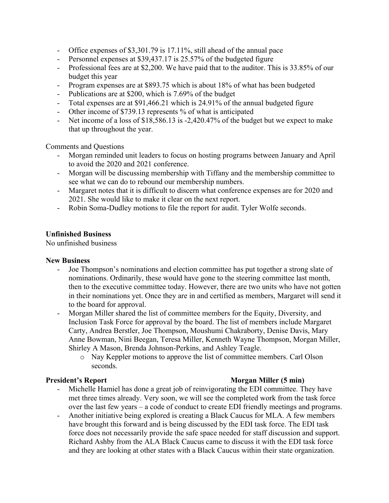- Office expenses of \$3,301.79 is 17.11%, still ahead of the annual pace
- Personnel expenses at \$39,437.17 is 25.57% of the budgeted figure
- Professional fees are at \$2,200. We have paid that to the auditor. This is 33.85% of our budget this year
- Program expenses are at \$893.75 which is about 18% of what has been budgeted
- Publications are at \$200, which is 7.69% of the budget
- Total expenses are at \$91,466.21 which is 24.91% of the annual budgeted figure
- Other income of \$739.13 represents % of what is anticipated
- Net income of a loss of \$18,586.13 is -2,420.47% of the budget but we expect to make that up throughout the year.

Comments and Questions

- Morgan reminded unit leaders to focus on hosting programs between January and April to avoid the 2020 and 2021 conference.
- Morgan will be discussing membership with Tiffany and the membership committee to see what we can do to rebound our membership numbers.
- Margaret notes that it is difficult to discern what conference expenses are for 2020 and 2021. She would like to make it clear on the next report.
- Robin Soma-Dudley motions to file the report for audit. Tyler Wolfe seconds.

#### **Unfinished Business**

No unfinished business

#### **New Business**

- Joe Thompson's nominations and election committee has put together a strong slate of nominations. Ordinarily, these would have gone to the steering committee last month, then to the executive committee today. However, there are two units who have not gotten in their nominations yet. Once they are in and certified as members, Margaret will send it to the board for approval.
- Morgan Miller shared the list of committee members for the Equity, Diversity, and Inclusion Task Force for approval by the board. The list of members include Margaret Carty, Andrea Berstler, Joe Thompson, Moushumi Chakraborty, Denise Davis, Mary Anne Bowman, Nini Beegan, Teresa Miller, Kenneth Wayne Thompson, Morgan Miller, Shirley A Mason, Brenda Johnson-Perkins, and Ashley Teagle.
	- o Nay Keppler motions to approve the list of committee members. Carl Olson seconds.

### **President's Report Morgan Miller** (5 **min**)

- Michelle Hamiel has done a great job of reinvigorating the EDI committee. They have met three times already. Very soon, we will see the completed work from the task force over the last few years – a code of conduct to create EDI friendly meetings and programs.
- Another initiative being explored is creating a Black Caucus for MLA. A few members have brought this forward and is being discussed by the EDI task force. The EDI task force does not necessarily provide the safe space needed for staff discussion and support. Richard Ashby from the ALA Black Caucus came to discuss it with the EDI task force and they are looking at other states with a Black Caucus within their state organization.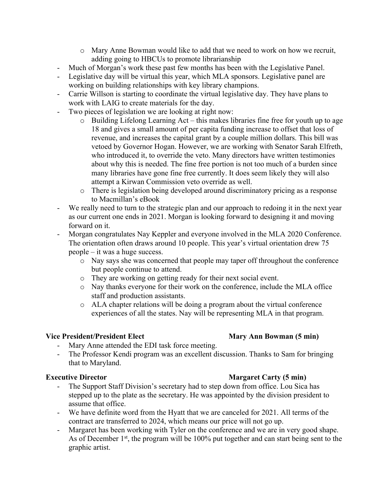- o Mary Anne Bowman would like to add that we need to work on how we recruit, adding going to HBCUs to promote librarianship
- Much of Morgan's work these past few months has been with the Legislative Panel.
- Legislative day will be virtual this year, which MLA sponsors. Legislative panel are working on building relationships with key library champions.
- Carrie Willson is starting to coordinate the virtual legislative day. They have plans to work with LAIG to create materials for the day.
- Two pieces of legislation we are looking at right now:
	- o Building Lifelong Learning Act this makes libraries fine free for youth up to age 18 and gives a small amount of per capita funding increase to offset that loss of revenue, and increases the capital grant by a couple million dollars. This bill was vetoed by Governor Hogan. However, we are working with Senator Sarah Elfreth, who introduced it, to override the veto. Many directors have written testimonies about why this is needed. The fine free portion is not too much of a burden since many libraries have gone fine free currently. It does seem likely they will also attempt a Kirwan Commission veto override as well.
	- o There is legislation being developed around discriminatory pricing as a response to Macmillan's eBook
- We really need to turn to the strategic plan and our approach to redoing it in the next year as our current one ends in 2021. Morgan is looking forward to designing it and moving forward on it.
- Morgan congratulates Nay Keppler and everyone involved in the MLA 2020 Conference. The orientation often draws around 10 people. This year's virtual orientation drew 75 people – it was a huge success.
	- o Nay says she was concerned that people may taper off throughout the conference but people continue to attend.
	- o They are working on getting ready for their next social event.
	- o Nay thanks everyone for their work on the conference, include the MLA office staff and production assistants.
	- o ALA chapter relations will be doing a program about the virtual conference experiences of all the states. Nay will be representing MLA in that program.

### **Vice President/President Elect Mary Ann Bowman (5 min)**

- Mary Anne attended the EDI task force meeting.
- The Professor Kendi program was an excellent discussion. Thanks to Sam for bringing that to Maryland.

#### **Executive Director Margaret Carty (5 min)**

- The Support Staff Division's secretary had to step down from office. Lou Sica has stepped up to the plate as the secretary. He was appointed by the division president to assume that office.
- We have definite word from the Hyatt that we are canceled for 2021. All terms of the contract are transferred to 2024, which means our price will not go up.
- Margaret has been working with Tyler on the conference and we are in very good shape. As of December  $1<sup>st</sup>$ , the program will be 100% put together and can start being sent to the graphic artist.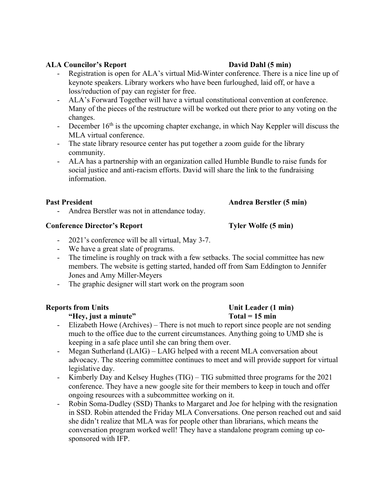### **ALA Councilor's Report David Dahl (5 min)**

- Registration is open for ALA's virtual Mid-Winter conference. There is a nice line up of keynote speakers. Library workers who have been furloughed, laid off, or have a loss/reduction of pay can register for free.
- ALA's Forward Together will have a virtual constitutional convention at conference. Many of the pieces of the restructure will be worked out there prior to any voting on the changes.
- December  $16<sup>th</sup>$  is the upcoming chapter exchange, in which Nay Keppler will discuss the MLA virtual conference.
- The state library resource center has put together a zoom guide for the library community.
- ALA has a partnership with an organization called Humble Bundle to raise funds for social justice and anti-racism efforts. David will share the link to the fundraising information.

#### **Past President Andrea Berstler (5 min)**

- Andrea Berstler was not in attendance today.

#### **Conference Director's Report Tyler Wolfe (5 min)**

- 2021's conference will be all virtual, May 3-7.
- We have a great slate of programs.
- The timeline is roughly on track with a few setbacks. The social committee has new members. The website is getting started, handed off from Sam Eddington to Jennifer Jones and Amy Miller-Meyers
- The graphic designer will start work on the program soon

### **Reports from Units Unit Leader (1 min)**

### **"Hey, just a minute" Total = 15 min**

- Elizabeth Howe (Archives) There is not much to report since people are not sending much to the office due to the current circumstances. Anything going to UMD she is keeping in a safe place until she can bring them over.
- Megan Sutherland (LAIG) LAIG helped with a recent MLA conversation about advocacy. The steering committee continues to meet and will provide support for virtual legislative day.
- Kimberly Day and Kelsey Hughes (TIG) TIG submitted three programs for the 2021 conference. They have a new google site for their members to keep in touch and offer ongoing resources with a subcommittee working on it.
- Robin Soma-Dudley (SSD) Thanks to Margaret and Joe for helping with the resignation in SSD. Robin attended the Friday MLA Conversations. One person reached out and said she didn't realize that MLA was for people other than librarians, which means the conversation program worked well! They have a standalone program coming up cosponsored with IFP.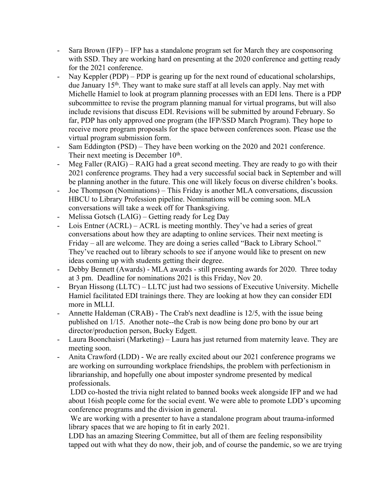- Sara Brown (IFP) IFP has a standalone program set for March they are cosponsoring with SSD. They are working hard on presenting at the 2020 conference and getting ready for the 2021 conference.
- Nay Keppler (PDP) PDP is gearing up for the next round of educational scholarships, due January 15<sup>th</sup>. They want to make sure staff at all levels can apply. Nay met with Michelle Hamiel to look at program planning processes with an EDI lens. There is a PDP subcommittee to revise the program planning manual for virtual programs, but will also include revisions that discuss EDI. Revisions will be submitted by around February. So far, PDP has only approved one program (the IFP/SSD March Program). They hope to receive more program proposals for the space between conferences soon. Please use the virtual program submission form.
- Sam Eddington (PSD) They have been working on the 2020 and 2021 conference. Their next meeting is December 10<sup>th</sup>.
- Meg Faller (RAIG) RAIG had a great second meeting. They are ready to go with their 2021 conference programs. They had a very successful social back in September and will be planning another in the future. This one will likely focus on diverse children's books.
- Joe Thompson (Nominations) This Friday is another MLA conversations, discussion HBCU to Library Profession pipeline. Nominations will be coming soon. MLA conversations will take a week off for Thanksgiving.
- Melissa Gotsch (LAIG) Getting ready for Leg Day
- Lois Entner (ACRL) ACRL is meeting monthly. They've had a series of great conversations about how they are adapting to online services. Their next meeting is Friday – all are welcome. They are doing a series called "Back to Library School." They've reached out to library schools to see if anyone would like to present on new ideas coming up with students getting their degree.
- Debby Bennett (Awards) MLA awards still presenting awards for 2020. Three today at 3 pm. Deadline for nominations 2021 is this Friday, Nov 20.
- Bryan Hissong (LLTC) LLTC just had two sessions of Executive University. Michelle Hamiel facilitated EDI trainings there. They are looking at how they can consider EDI more in MLLI.
- Annette Haldeman (CRAB) The Crab's next deadline is 12/5, with the issue being published on 1/15. Another note--the Crab is now being done pro bono by our art director/production person, Bucky Edgett.
- Laura Boonchaisri (Marketing) Laura has just returned from maternity leave. They are meeting soon.
- Anita Crawford (LDD) We are really excited about our 2021 conference programs we are working on surrounding workplace friendships, the problem with perfectionism in librarianship, and hopefully one about imposter syndrome presented by medical professionals.

LDD co-hosted the trivia night related to banned books week alongside IFP and we had about 16ish people come for the social event. We were able to promote LDD's upcoming conference programs and the division in general.

We are working with a presenter to have a standalone program about trauma-informed library spaces that we are hoping to fit in early 2021.

LDD has an amazing Steering Committee, but all of them are feeling responsibility tapped out with what they do now, their job, and of course the pandemic, so we are trying